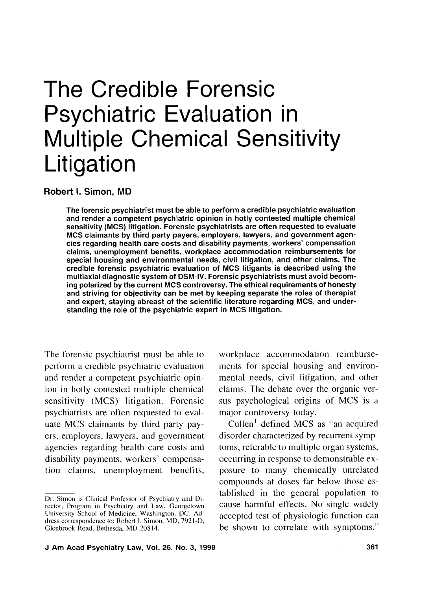# The Credible Forensic Psychiatric Evaluation in Multiple Chemical Sensitivity Litigation

**Robert I. Simon, MD** 

The forensic psychiatrist must be able to perform a credible psychiatric evaluation and render a competent psychiatric opinion in hotly contested multiple chemical sensitivity (MCS) litigation. Forensic psychiatrists are often requested to evaluate MCS claimants by third party payers, employers, lawyers, and government agencies regarding health care costs and disability payments, workers' compensation claims, unemployment benefits, workplace accommodation reimbursements for special housing and environmental needs, civil litigation, and other claims. The credible forensic psychiatric evaluation of MCS litigants is described using the multiaxial diagnostic system of DSM-IV. Forensic psychiatrists must avoid becoming polarized by the current MCS controversy. The ethical requirements of honesty and striving for objectivity can be met by keeping separate the roles of therapist and expert, staying abreast of the scientific literature regarding MCS, and understanding the role of the psychiatric expert in MCS litigation.

The forensic psychiatrist must be able to perform a credible psychiatric evaluation and render a competent psychiatric opinion in hotly contested multiple chemical sensitivity (MCS) litigation. Forensic psychiatrists are often requested to evaluate MCS claimants by third party payers, employers. lawyers, and government agencies regarding health care costs and disability payments, workers' compensation claims, unemployment benefits,

workplace accommodation reimbursements for special housing and environmental needs, civil litigation, and other claims. The debate over the organic versus psychological origins of MCS is a major controversy today.

Cullen' defined MCS as "an acquired disorder characterized by recurrent symptoms, referable to multiple organ systems, occurring in response to demonstrable exposure to many chemically unrelated compounds at doses far below those established in the general population to cause harmful effects. No single widely accepted test of physiologic function can be shown to correlate with symptoms."

Dr. Simon is Clinical Professor of Psychiatry and Director, Program in Psychiatry and Law, Georgetown University School of Medicine, Washington, DC. Address correspondence to: Robert 1. Simon, MD, 792 1-D, Glenbrook Road, Bethesda, MD 20814.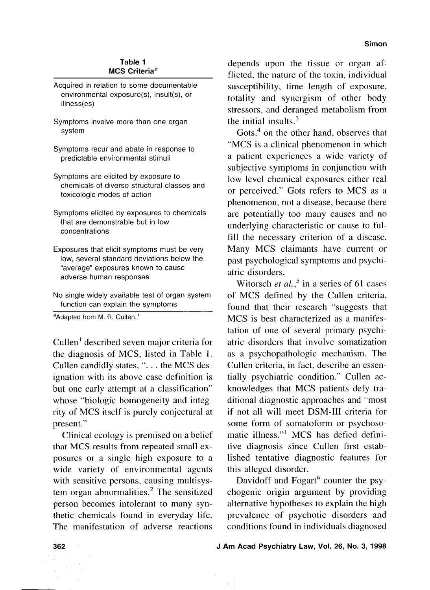## **Table 1 MCS Criteria<sup>a</sup>**

- Acquired in relation to some documentable environmental exposure(s), insult(s), or illness(es)
- Symptoms involve more than one organ system
- Symptoms recur and abate in response to predictable environmental stimuli
- Symptoms are elicited by exposure to chemicals of diverse structural classes and toxicologic modes of action
- Symptoms elicited by exposures to chemicals that are demonstrable but in low concentrations
- Exposures that elicit symptoms must be very low, several standard deviations below the "average" exposures known to cause adverse human responses
- No single widely available test of organ system function can explain the symptoms

"Adapted from M. R. Cullen.'

cullen' described seven major criteria for the diagnosis of MCS, listed in Table 1. Cullen candidly states, ". . . the MCS designation with its above case definition is but one early attempt at a classification" whose "biologic homogeneity and integrity of MCS itself is purely conjectural at present."

Clinical ecology is premised on a belief that MCS results from repeated small exposures or a single high exposure to a wide variety of environmental agents with sensitive persons, causing multisystem organ abnormalities. $2$  The sensitized person becomes intolerant to many synthetic chemicals found in everyday life. The manifestation of adverse reactions

depends upon the tissue or organ afflicted, the nature of the toxin, individual susceptibility, time length of exposure, totality and synergism of other body stressors, and deranged metabolism from the initial insults. $3$ 

Gots,<sup>4</sup> on the other hand, observes that "MCS is a clinical phenomenon in which a patient experiences a wide variety of subjective symptoms in conjunction with low level chemical exposures either real or perceived." Gots refers to MCS as a phenomenon, not a disease, because there are potentially too many causes and no underlying characteristic or cause to fulfill the necessary criterion of a disease. Many MCS claimants have current or past psychological symptoms and psychiatric disorders.

Witorsch et al.,<sup>5</sup> in a series of 61 cases of MCS defined by the Cullen criteria, found that their research "suggests that MCS is best characterized as a manifestation of one of several primary psychiatric disorders that involve somatization as a psychopathologic mechanism. The Cullen criteria, in fact, describe an essentially psychiatric condition." Cullen acknowledges that MCS patients defy traditional diagnostic approaches and "most if not all will meet DSM-111 criteria for some form of somatoform or psychosomatic illness."' MCS has defied definitive diagnosis since Cullen first established tentative diagnostic features for this alleged disorder.

Davidoff and  $Fogart^6$  counter the psychogenic origin argument by providing alternative hypotheses to explain the high prevalence of psychotic disorders and conditions found in individuals diagnosed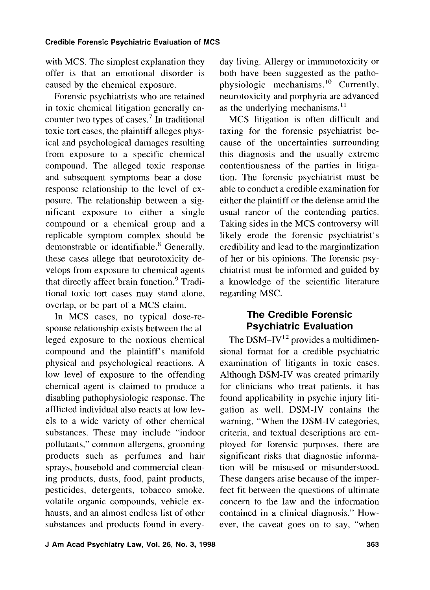with MCS. The simplest explanation they offer is that an emotional disorder is caused by the chemical exposure.

Forensic psychiatrists who are retained in toxic chemical litigation generally encounter two types of cases.<sup>7</sup> In traditional toxic tort cases, the plaintiff alleges physical and psychological damages resulting from exposure to a specific chemical compound. The alleged toxic response and subsequent symptoms bear a doseresponse relationship to the level of exposure. The relationship between a significant exposure to either a single compound or a chemical group and a replicable symptom complex should be demonstrable or identifiable.<sup>8</sup> Generally, these cases allege that neurotoxicity develops from exposure to chemical agents that directly affect brain function.<sup>9</sup> Traditional toxic tort cases may stand alone, overlap, or be part of a MCS claim.

In MCS cases, no typical dose-response relationship exists between the alleged exposure to the noxious chemical compound and the plaintiff's manifold physical and psychological reactions. A low level of exposure to the offending chemical agent is claimed to produce a disabling pathophysiologic response. The afflicted individual also reacts at low levels to a wide variety of other chemical substances. These may include "indoor pollutants," common allergens, grooming products such as perfumes and hair sprays, household and commercial cleaning products, dusts, food, paint products, pesticides, detergents, tobacco smoke, volatile organic compounds, vehicle exhausts, and an almost endless list of other substances and products found in everyday living. Allergy or immunotoxicity or both have been suggested as the pathophysiologic mechanisms.<sup>10</sup> Currently, neurotoxicity and porphyria are advanced as the underlying mechanisms. $^{11}$ 

MCS litigation is often difficult and taxing for the forensic psychiatrist because of the uncertainties surrounding this diagnosis and the usually extreme contentiousness of the parties in litigation. The forensic psychiatrist must be able to conduct a credible examination for either the plaintiff or the defense amid the usual rancor of the contending parties. Taking sides in the MCS controversy will likely erode the forensic psychiatrist's credibility and lead to the marginalization of her or his opinions. The forensic psychiatrist must be informed and guided by a knowledge of the scientific literature regarding MSC.

## **The Credible Forensic Psychiatric Evaluation**

The DSM-IV $^{12}$  provides a multidimensional format for a credible psychiatric examination of litigants in toxic cases. Although DSM-IV was created primarily for clinicians who treat patients, it has found applicability in psychic injury litigation as well. DSM-IV contains the warning, "When the DSM-IV categories, criteria, and textual descriptions are employed for forensic purposes, there are significant risks that diagnostic information will be misused or misunderstood. These dangers arise because of the imperfect fit between the questions of ultimate concern to the law and the information contained in a clinical diagnosis." However, the caveat goes on to say, "when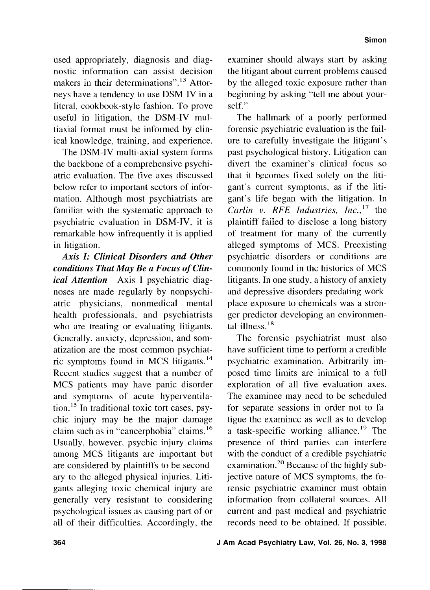used appropriately, diagnosis and diagnostic information can assist decision makers in their determinations".<sup>13</sup> Attorneys have a tendency to use DSM-IV in a literal, cookbook-style fashion. To prove useful in litigation, the DSM-IV multiaxial format must be informed by clinical knowledge, training, and experience.

The DSM-IV multi-axial system forms the backbone of a comprehensive psychiatric evaluation. The five axes discussed below refer to important sectors of information. Although most psychiatrists are familiar with the systematic approach to psychiatric evaluation in DSM-IV, it is remarkable how infrequently it is applied in litigation.

*Axis I: Clinical Disorders and Other conditions That May Be a Focus of Clinical Attention* Axis I psychiatric diagnoses are made regularly by nonpsychiatric physicians, nonmedical mental health professionals, and psychiatrists who are treating or evaluating litigants. Generally, anxiety, depression, and sonatization are the most common psychiatric symptoms found in MCS litigants.14 Recent studies suggest that a number of MCS patients may have panic disorder and symptoms of acute hyperventilation.15 In traditional toxic tort cases, psychic injury may be the major damage claim such as in "cancerphobia" claims.<sup>16</sup> Usually, however, psychic injury claims among MCS litigants are important but are considered by plaintiffs to be secondary to the alleged physical injuries. Litigants alleging toxic chemical injury are generally very resistant to considering psychological issues as causing part of or all of their difficulties. Accordingly, the examiner should always start by asking the litigant about current problems caused by the alleged toxic exposure rather than beginning by asking "tell me about yourself."

The hallmark of a poorly performed forensic psychiatric evaluation is the failure to carefully investigate the litigant's past psychological history. Litigation can divert the examiner's clinical focus so that it bgcomes fixed solely on the litigant's current symptoms, as if the litigant's life began with the litigation. In Carlin v. RFE Industries,  $Inc.$ <sup>17</sup> the plaintiff failed to disclose a long history of treatment for many of the currently alleged symptoms of MCS. Preexisting psychiatric disorders or conditions are commonly found in the histories of MCS litigants. In one study, a history of anxiety and depressive disorders predating workplace exposure to chemicals was a stronger predictor developing an environmental illness. $^{18}$ 

The forensic psychiatrist must also have sufficient time to perform a credible psychiatric examination. Arbitrarily imposed time limits are inimical to a full exploration of all five evaluation axes. The examinee may need to be scheduled for separate sessions in order not to fatigue the examinee as well as to develop a task-specific working alliance.<sup>19</sup> The presence of third parties can interfere with the conduct of a credible psychiatric examination.<sup>20</sup> Because of the highly subjective nature of MCS symptoms, the forensic psychiatric examiner must obtain information from collateral sources. All current and past medical and psychiatric records need to be obtained. If possible,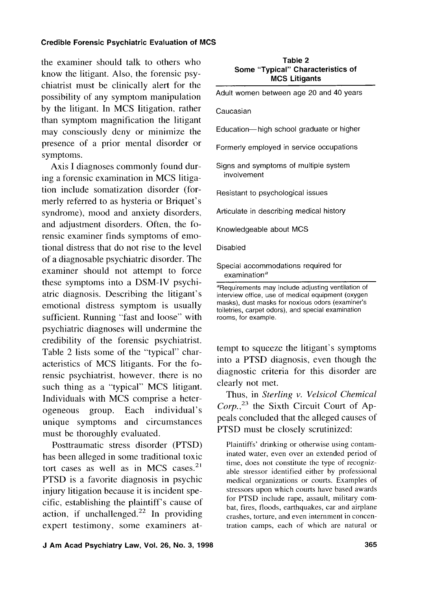## **Credible Forensic Psychiatric Evaluation of MCS**

the examiner should talk to others who know the litigant. Also, the forensic psychiatrist must be clinically alert for the possibility of any symptom manipulation by the litigant. In MCS litigation. rather than symptom magnification the litigant may consciously deny or minimize the presence of a prior mental disorder or symptoms.

Axis I diagnoses commonly found during a forensic examination in MCS litigation include somatization disorder (formerly referred to as hysteria or Briquet's syndrome), mood and anxiety disorders, and adjustment disorders. Often, the forensic examiner finds symptoms of emotional distress that do not rise to the level of a diagnosable psychiatric disorder. The examiner should not attempt to force these symptoms into a DSM-IV psychiatric diagnosis. Describing the litigant's emotional distress symptom is usually sufficient. Running "fast and loose" with psychiatric diagnoses will undermine the credibility of the forensic psychiatrist. Table 2 lists some of the "typical" characteristics of MCS litigants. For the forensic psychiatrist, however. there is no such thing as a "typical" MCS litigant. Individuals with MCS comprise a heterogeneous group. Each individual's unique symptoms and circumstances must be thoroughly evaluated.

Posttraumatic stress disorder (PTSD) has been alleged in some traditional toxic tort cases as well as in MCS cases. $2<sup>1</sup>$ PTSD is a favorite diagnosis in psychic injury litigation because it is incident specific, establishing the plaintiff's cause of action, if unchallenged.<sup>22</sup> In providing expert testimony, some examiners at-

| Table 2                           |  |  |  |
|-----------------------------------|--|--|--|
| Some "Typical" Characteristics of |  |  |  |
| <b>MCS Litigants</b>              |  |  |  |

Adult women between age 20 and 40 years

Caucasian

Education- high school graduate or higher

Formerly employed in service occupations

Signs and symptoms of multiple system involvement

Resistant to psychological issues

Articulate in describing medical history

Knowledgeable about MCS

Disabled

Special accommodations required for examination $a$ 

tempt to squeeze the litigant's symptoms into a PTSD diagnosis, even though the diagnostic criteria for this disorder are clearly not met.

Thus, in *Sterling* v. *Velsicol Chemical*   $Corp.<sup>23</sup>$  the Sixth Circuit Court of Appeals concluded that the alleged causes of PTSD must be closely scrutinized:

Plaintiffs' drinking or otherwise using contaminated water, even over an extended period of time, does not constitute the type of recognizable stressor identified either by professional medical organizations or courts. Examples of stressors upon which courts have based awards for PTSD include rape, assault, military combat, fires, floods, earthquakes, car and airplane crashes, torture, and even internment in concentration camps, each of which are natural or

<sup>&</sup>quot;Requirements may include adjusting ventilation of interview office, use of medical equipment (oxygen masks), dust masks for noxious odors (examiner's toiletries, carpet odors), and special examination rooms, for example.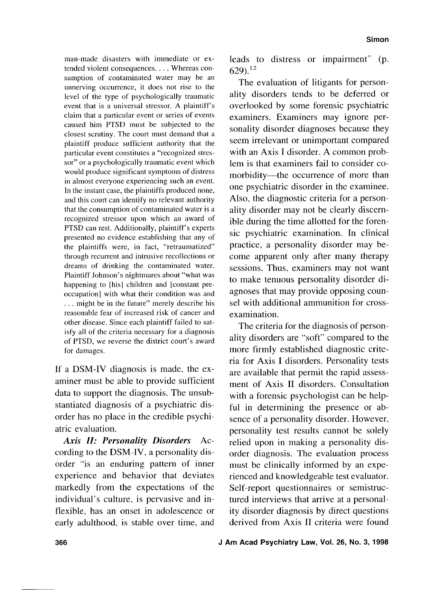man-made disasters with immediate or extended violent consequences. . . . Whereas consumption of contaminated water may be an unnerving occurrence, it does not rise to the level of the type of psychologically traumatic event that is a universal stressor. A plaintiff's claim that a particular event or series of events caused him PTSD must be subjected to the closest scrutiny. The court must demand that a plaintiff produce sufficient authority that the particular event constitutes a "recognized stressor" or a psychologically traumatic event which would produce significant symptoms of distress in almost everyone experiencing such an event. In the instant case, the plaintiffs produced none, and this court can identify no relevant authority that the consumption of contaminated water is a recognized stressor upon which an award of PTSD can rest. Additionally, plaintiff's experts presented no evidence establishing that any of the plaintiffs were, in fact, "retraumatized" through recurrent and intrusive recollections or dreams of drinking the contaminated water. Plaintiff Johnson's nightmares about "what was happening to [his] children and [constant preoccupation] with what their condition was and . . . might be in the future" merely describe his reasonable fear of increased risk of cancer and other disease. Since each plaintiff failed to satisfy all of the criteria necessary for a diagnosis of PTSD, we reverse the district court's award for damages.

If a DSM-IV diagnosis is made, the examiner must be able to provide sufficient data to support the diagnosis. The unsubstantiated diagnosis of a psychiatric disorder has no place in the credible psychiatric evaluation.

Axis **II: Personality Disorders** According to the DSM-IV, a personality disorder "is an enduring pattern of inner experience and behavior that deviates markedly from the expectations of the individual's culture, is pervasive and inflexible, has an onset in adolescence or early adulthood, is stable over time, and

leads to distress or impairment" (p. 629).12

The evaluation of litigants for personality disorders tends to be deferred or overlooked by some forensic psychiatric examiners. Examiners may ignore personality disorder diagnoses because they seem irrelevant or unimportant compared with an Axis I disorder. A common problem is that examiners fail to consider comorbidity—the occurrence of more than one psychiatric disorder in the examinee. Also, the diagnostic criteria for a personality disorder may not be clearly discernible during the time allotted for the forensic psychiatric examination. In clinical practice, a personality disorder may become apparent only after many therapy sessions. Thus, examiners may not want to make tenuous personality disorder diagnoses that may provide opposing counsel with additional ammunition for crossexamination.

The criteria for the diagnosis of personality disorders are "soft" compared to the more firmly established diagnostic criteria for Axis I disorders. Personality tests are available that permit the rapid assessment of Axis I1 disorders. Consultation with a forensic psychologist can be helpful in determining the presence or absence of a personality disorder. However, personality test results cannot be solely relied upon in making a personality disorder diagnosis. The evaluation process must be clinically informed by an experienced and knowledgeable test evaluator. Self-report questionnaires or semistructured interviews that arrive at a personality disorder diagnosis by direct questions derived from Axis I1 criteria were found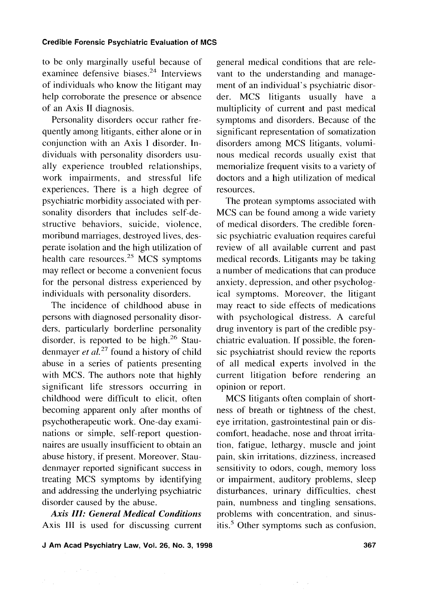## **Credible Forensic Psychiatric Evaluation of MCS**

to be only marginally useful because of examinee defensive biases.<sup>24</sup> Interviews of individuals who know the litigant may help corroborate the presence or absence of an Axis **I1** diagnosis.

Personality disorders occur rather frequently among litigants, either alone or in conjunction with an Axis I disorder. Individuals with personality disorders usually experience troubled relationships, work impairments, and stressful life experiences. There is a high degree of psychiatric morbidity associated with personality disorders that includes self-destructive behaviors, suicide, violence, moribund marriages, destroyed lives, desperate isolation and the high utilization of health care resources.<sup>25</sup> MCS symptoms may reflect or become a convenient focus for the personal distress experienced by individuals with personality disorders.

The incidence of childhood abuse in persons with diagnosed personality disorders. particularly borderline personality disorder, is reported to be high. $26$  Staudenmayer *et al.*<sup>27</sup> found a history of child abuse in a series of patients presenting with MCS. The authors note that highly significant life stressors occurring in childhood were difficult to elicit. often becoming apparent only after months of psychotherapeutic work. One-day examinations or simple, self-report questionnaires are usually insufficient to obtain an abuse history, if present. Moreover, Staudenmayer reported significant success in treating MCS symptoms by identifying and addressing the underlying psychiatric disorder caused by the abuse.

*Axis* **111:** *General Medical Conditions*  Axis **111** is used for discussing current

 $\sim 10^{11}$  km s  $^{-1}$ 

general medical conditions that are relevant to the understanding and management of an individual's psychiatric disorder. MCS litigants usually have a multiplicity of current and past medical symptoms and disorders. Because of the significant representation of somatization disorders among MCS litigants, voluminous medical records usually exist that memorialize frequent visits to a variety of doctors and a high utilization of medical resources.

The protean symptoms associated with MCS can be found among a wide variety of medical disorders. The credible forensic psychiatric evaluation requires careful review of all available current and past medical records. Litigants may be taking a number of medications that can produce anxiety, depression, and other psychological symptoms. Moreover, the litigant may react to side effects of medications with psychological distress. A careful drug inventory is part of the credible psychiatric evaluation. If possible, the forensic psychiatrist should review the reports of all medical experts involved in the current litigation before rendering an opinion or report.

MCS litigants often complain of shortness of breath or tightness of the chest, eye irritation, gastrointestinal pain or discomfort, headache, nose and throat irritation, fatigue, lethargy, muscle and joint pain, skin irritations, dizziness, increased sensitivity to odors, cough, memory loss or impairment, auditory problems, sleep disturbances, urinary difficulties. chest pain, numbness and tingling sensations, problems with concentration, and sinusitis.<sup>5</sup> Other symptoms such as confusion,

**J Am Acad Psychiatry Law, Vol. 26, No. 3, 1998 367**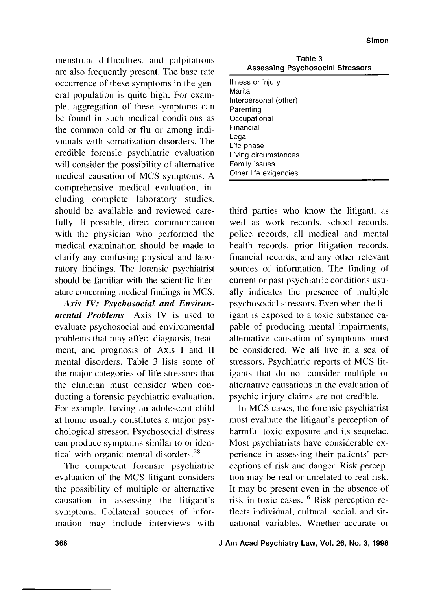menstrual difficulties, and palpitations are also frequently present. The base rate occurrence of these symptoms in the general population is quite high. For example, aggregation of these symptoms can be found in such medical conditions as the common cold or flu or among individuals with somatization disorders. The credible forensic psychiatric evaluation will consider the possibility of alternative medical causation of MCS symptoms. A comprehensive medical evaluation, including complete laboratory studies, should be available and reviewed carefully. If possible, direct communication with the physician who performed the medical examination should be made to clarify any confusing physical and laboratory findings. The forensic psychiatrist should be familiar with the scientific literature concerning medical findings in MCS.

*Axis IV: Psychosocial and Environmental Problems* Axis IV is used to evaluate psychosocial and environmental problems that may affect diagnosis, treatment, and prognosis of Axis I and TI mental disorders. Table 3 lists some of the major categories of life stressors that the clinician must consider when conducting a forensic psychiatric evaluation. For example, having an adolescent child at home usually constitutes a major psychological stressor. Psychosocial distress can produce symptoms similar to or identical with organic mental disorders.<sup>28</sup>

The competent forensic psychiatric evaluation of the MCS litigant considers the possibility of multiple or alternative causation in assessing the litigant's symptoms. Collateral sources of information may include interviews with

**Table 3 Assessing Psychosocial Stressors** 

| Illness or injury     |
|-----------------------|
| Marital               |
| Interpersonal (other) |
| Parenting             |
| Occupational          |
| Financial             |
| Legal                 |
| Life phase            |
| Living circumstances  |
| Family issues         |
| Other life exigencies |

third parties who know the litigant, as well as work records, school records, police records, all medical and mental health records, prior litigation records, financial records, and any other relevant sources of information. The finding of current or past psychiatric conditions usually indicates the presence of multiple psychosocial stressors. Even when the litigant is exposed to a toxic substance capable of producing mental impairments, alternative causation of symptoms must be considered. We all live in a sea of stressors. Psychiatric reports of MCS litigants that do not consider multiple or alternative causations in the evaluation of psychic injury claims are not credible.

In MCS cases, the forensic psychiatrist must evaluate the litigant's perception of harmful toxic exposure and its sequelae. Most psychiatrists have considerable experience in assessing their patients' perceptions of risk and danger. Risk perception may be real or unrelated to real risk. It may be present even in the absence of risk in toxic cases.<sup>16</sup> Risk perception reflects individual, cultural, social, and situational variables. Whether accurate or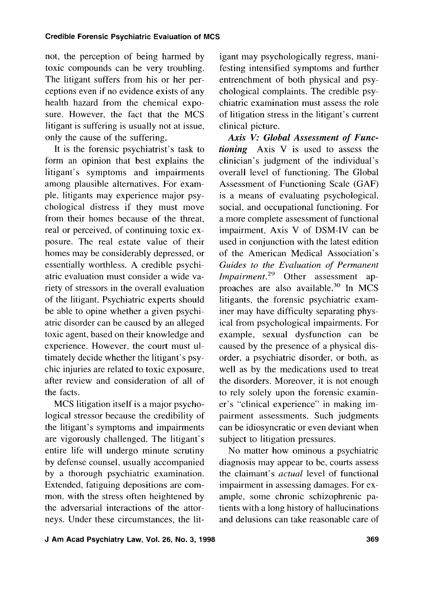not. the perception of being harmed by toxic compounds can be very troubling. The litigant suffers from his or her perceptions even if no evidence exists of any health hazard from the chemical exposure. However, the fact that the MCS litigant is suffering is usually not at issue, only the cause of the suffering.

It is the forensic psychiatrist's task to form an opinion that best explains the litigant's symptoms and impairments among plausible alternatives. For example, litigants may experience major psychological distress if they must move from their homes because of the threat, real or perceived, of continuing toxic exposure. The real estate value of their homes may be considerably depressed, or essentially worthless. A credible psychiatric evaluation must consider a wide variety of stressors in the overall evaluation of the litigant. Psychiatric experts should be able to opine whether a given psychiatric disorder can be caused by an alleged toxic agent, based on their knowledge and experience. However, the court must ultimately decide whether the litigant's psychic injuries are related to toxic exposure, after review and consideration of all of the facts.

MCS litigation itself is a major psychological stressor because the credibility of the litigant's symptoms and impairments are vigorously challenged. The litigant's entire life will undergo minute scrutiny by defense counsel, usually accompanied by a thorough psychiatric examination. Extended, fatiguing depositions are common, with the stress often heightened by the adversarial interactions of the attorneys. Under these circumstances, the litigant may psychologically regress, manifesting intensified symptoms and further entrenchment of both physical and psychological complaints. The credible psychiatric examination must assess the role of litigation stress in the litigant's current clinical picture.

*Axis* V: *Global Assessment of Functioning* Axis V is used to assess the clinician's judgment of the individual's overall level of functioning. The Global Assessment of Functioning Scale (GAF) is a means of evaluating psychological, social, and occupational functioning. For a more complete assessment of functional impairment, Axis V of DSM-IV can be used in conjunction with the latest edition of the American Medical Association's Guides to the Evaluation of Permanent *Impairment.*<sup>29</sup> Other assessment approaches are also available.<sup>30</sup> In MCS litigants, the forensic psychiatric examiner may have difficulty separating physical from psychological impairments. For example, sexual dysfunction can be caused by the presence of a physical disorder, a psychiatric disorder, or both. as well as by the medications used to treat the disorders. Moreover, it is not enough to rely solely upon the forensic examiner's "clinical experience" in making impairment assessments. Such judgments can be idiosyncratic or even deviant when subject to litigation pressures.

No matter how ominous a psychiatric diagnosis may appear to be, courts assess the claimant's actual level of functional impairment in assessing damages. For example, some chronic schizophrenic patients with a long history of hallucinations and delusions can take reasonable care of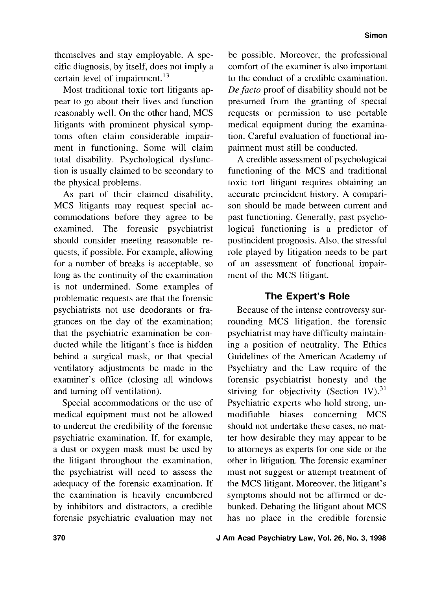themselves and stay employable. A specific diagnosis, by itself, does not imply a certain level of impairment.<sup>13</sup>

Most traditional toxic tort litigants appear to go about their lives and function reasonably well. On the other hand, MCS litigants with prominent physical symptoms often claim considerable impairment in functioning. Some will claim total disability. Psychological dysfunction is usually claimed to be secondary to the physical problems.

As part of their claimed disability, MCS litigants may request special accommodations before they agree to be examined. The forensic psychiatrist should consider meeting reasonable requests, if possible. For example, allowing for a number of breaks is acceptable, so long as the continuity of the examination is not undermined. Some examples of problematic requests are that the forensic psychiatrists not use deodorants or fragrances on the day of the examination; that the psychiatric examination be conducted while the litigant's face is hidden behind a surgical mask, or that special ventilatory adjustments be made in the examiner's office (closing all windows and turning off ventilation).

Special accommodations or the use of medical equipment must not be allowed to undercut the credibility of the forensic psychiatric examination. If, for example, a dust or oxygen mask must be used by the litigant throughout the examination, the psychiatrist will need to assess the adequacy of the forensic examination. If the examination is heavily encumbered by inhibitors and distractors, a credible forensic psychiatric evaluation may not

be possible. Moreover, the professional comfort of the examiner is also important to the conduct of a credible examination. De facto proof of disability should not be presumed from the granting of special requests or permission to use portable medical equipment during the examination. Careful evaluation of functional impairment must still be conducted.

A credible assessment of psychological functioning of the MCS and traditional toxic tort litigant requires obtaining an accurate preincident history. A comparison should be made between current and past functioning. Generally, past psychological functioning is a predictor of postincident prognosis. Also, the stressful role played by litigation needs to be part of an assessment of functional impairment of the MCS litigant.

## **The Expert's Role**

Because of the intense controversy surrounding MCS litigation, the forensic psychiatrist may have difficulty maintaining a position of neutrality. The Ethics Guidelines of the American Academy of Psychiatry and the Law require of the forensic psychiatrist honesty and the striving for objectivity (Section IV). $^{31}$ Psychiatric experts who hold strong, unmodifiable biases concerning MCS should not undertake these cases, no matter how desirable they may appear to be to attorneys as experts for one side or the other in litigation. The forensic examiner must not suggest or attempt treatment of the MCS litigant. Moreover, the litigant's symptoms should not be affirmed or debunked. Debating the litigant about MCS has no place in the credible forensic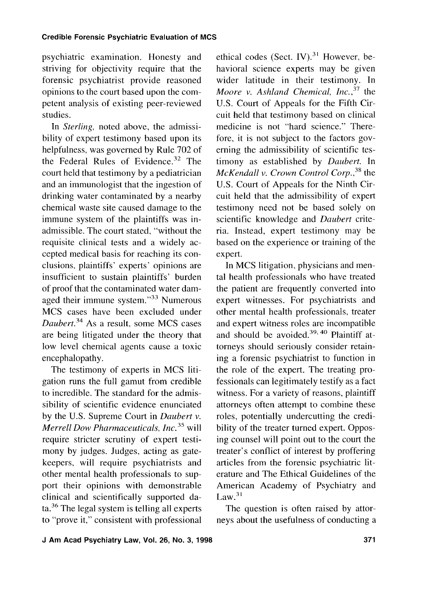psychiatric examination. Honesty and striving for objectivity require that the forensic psychiatrist provide reasoned opinions to the court based upon the competent analysis of existing peer-reviewed studies.

In Sterling, noted above, the admissibility of expert testimony based upon its helpfulness, was governed by Rule 702 of the Federal Rules of Evidence. $32$  The court held that testimony by a pediatrician and an immunologist that the ingestion of drinking water contaminated by a nearby chemical waste site caused damage to the immune system of the plaintiffs was inadmissible. The court stated, "without the requisite clinical tests and a widely accepted medical basis for reaching its conclusions, plaintiffs' experts' opinions are insufficient to sustain plaintiffs' burden of proof that the contaminated water damaged their immune system."33 Numerous MCS cases have been excluded under Daubert.<sup>34</sup> As a result, some MCS cases are being litigated under the theory that low level chemical agents cause a toxic encephalopathy.

The testimony of experts in MCS litigation runs the full gamut from credible to incredible. The standard for the admissibility of scientific evidence enunciated by the U.S. Supreme Court in Daubert v. Merrell Dow Pharmaceuticals, Inc. $35$  will require stricter scrutiny of expert testimony by judges. Judges, acting as gatekeepers, will require psychiatrists and other mental health professionals to support their opinions with demonstrable clinical and scientifically supported data.36 The legal system is telling all experts to "prove it," consistent with professional ethical codes (Sect. IV). $31$  However, behavioral science experts may be given wider latitude in their testimony. In Moore v. Ashland Chemical,  $Inc,$ <sup>37</sup> the U.S. Court of Appeals for the Fifth Circuit held that testimony based on clinical medicine is not "hard science." Therefore, it is not subject to the factors governing the admissibility of scientific testimony as established by Daubert. In  $McKendall$  v. Crown Control Corp., $38$  the U.S. Court of Appeals for the Ninth Circuit held that the admissibility of expert testimony need not be based solely on scientific knowledge and Daubert criteria. Instead, expert testimony may be based on the experience or training of the expert.

In MCS litigation, physicians and mental health professionals who have treated the patient are frequently converted into expert witnesses. For psychiatrists and other mental health professionals, treater and expert witness roles are incompatible and should be avoided.<sup>39, 40</sup> Plaintiff attorneys should seriously consider retaining a forensic psychiatrist to function in the role of the expert. The treating professionals can legitimately testify as a fact witness. For a variety of reasons, plaintiff attorneys often attempt to combine these roles, potentially undercutting the credibility of the treater turned expert. Opposing counsel will point out to the court the treater's conflict of interest by proffering articles from the forensic psychiatric literature and The Ethical Guidelines of the American Academy of Psychiatry and  $Law.<sup>31</sup>$ 

The question is often raised by attorneys about the usefulness of conducting a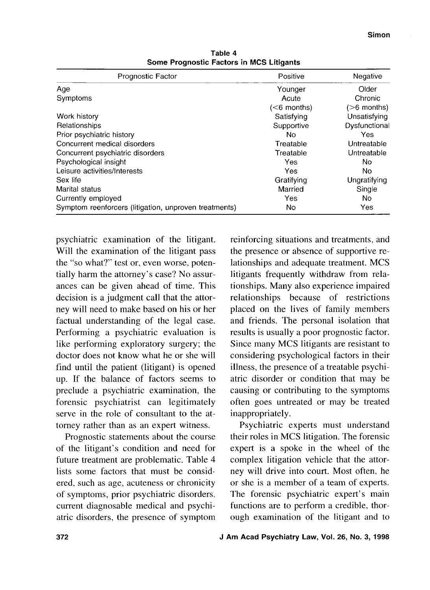| Prognostic Factor                                     | Positive     | Negative      |
|-------------------------------------------------------|--------------|---------------|
| Age                                                   | Younger      | Older         |
| Symptoms                                              | Acute        | Chronic       |
|                                                       | $(6$ months) | $(>6$ months) |
| Work history                                          | Satisfying   | Unsatisfying  |
| Relationships                                         | Supportive   | Dysfunctional |
| Prior psychiatric history                             | No.          | Yes           |
| Concurrent medical disorders                          | Treatable    | Untreatable   |
| Concurrent psychiatric disorders                      | Treatable    | Untreatable   |
| Psychological insight                                 | Yes          | No.           |
| Leisure activities/Interests                          | Yes          | No            |
| Sex life                                              | Gratifying   | Ungratifying  |
| Marital status                                        | Married      | Single        |
| Currently employed                                    | Yes          | No.           |
| Symptom reenforcers (litigation, unproven treatments) | Nο           | Yes           |

**Table 4 Some Prognostic Factors in MCS Litigants** 

psychiatric examination of the litigant. Will the examination of the litigant pass the "so what?" test or, even worse, potentially harm the attorney's case? No assurances can be given ahead of time. This decision is a judgment call that the attorney will need to make based on his or her factual understanding of the legal case. Performing a psychiatric evaluation is like performing exploratory surgery; the doctor does not know what he or she will find until the patient (litigant) is opened up. If the balance of factors seems to preclude a psychiatric examination, the forensic psychiatrist can legitimately serve in the role of consultant to the attorney rather than as an expert witness.

Prognostic statements about the course of the litigant's condition and need for future treatment are problematic. Table 4 lists some factors that must be considered, such as age, acuteness or chronicity of symptoms, prior psychiatric disorders. current diagnosable medical and psychiatric disorders, the presence of symptom

reinforcing situations and treatments, and the presence or absence of supportive relationships and adequate treatment. MCS litigants frequently withdraw from relationships. Many also experience impaired relationships because of restrictions placed on the lives of family members and friends. The personal isolation that results is usually a poor prognostic factor. Since many MCS litigants are resistant to considering psychological factors in their illness, the presence of a treatable psychiatric disorder or condition that may be causing or contributing to the symptoms often goes untreated or may be treated inappropriately.

Psychiatric experts must understand their roles in MCS litigation. The forensic expert is a spoke in the wheel of the complex litigation vehicle that the attorney will drive into court. Most often, he or she is a member of a team of experts. The forensic psychiatric expert's main functions are to perform a credible, thorough examination of the litigant and to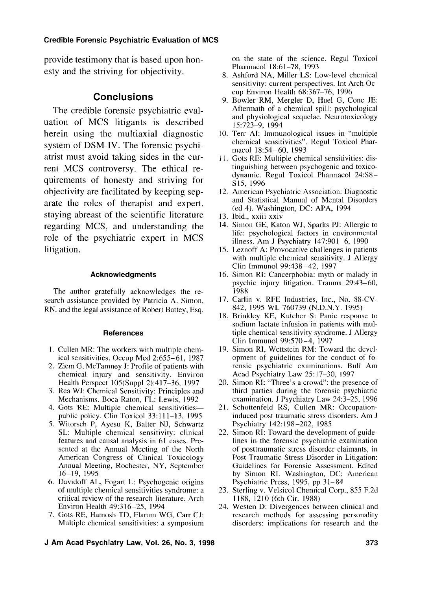## **Credible Forensic Psychiatric Evaluation of MCS**

provide testimony that is based upon honesty and the striving for objectivity.

## **Conclusions**

The credible forensic psychiatric evaluation of MCS litigants is described herein using the multiaxial diagnostic system of DSM-IV. The forensic psychiatrist must avoid taking sides in the current MCS controversy. The ethical requirements of honesty and striving for objectivity are facilitated by keeping separate the roles of therapist and expert, staying abreast of the scientific literature regarding MCS, and understanding the role of the psychiatric expert in MCS litigation.

### **Acknowledgments**

The author gratefully acknowledges the research assistance provided by Patricia A. Simon, RN, and the legal assistance of Robert Battey, Esq.

#### **References**

- 1. Cullen MR: The workers with multiple chemical sensitivities. Occup Med 2:655-61, 1987
- 2. Ziem G, McTamney J: Profile of patients with chemical injury and sensitivity. Environ Health Perspect 105(Suppl 2):417-36, 1997
- 3. Rea WJ: Chemical Sensitivity: Principles and Mechanisms. Boca Raton, FL: Lewis, 1992
- 4. Gots RE: Multiple chemical sensitivitiespublic policy. Clin Toxicol 33: 1 1 1-13, 1995
- Witorsch P, Ayesu K, Balter NJ, Schwartz SL: Multiple chemical sensitivity: clinical features and causal analysis in 61 cases. Presented at the Annual Meeting of the North American Congress of Clinical Toxicology Annual Meeting, Rochester, NY, September 16-19, 1995
- 6. Davidoff AL, Fogart L: Psychogenic origins of multiple chemical sensitivities syndrome: a critical review of the research literature. Arch Environ Health 49:3 16-25, 1994
- 7. Gots RE, Hamosh TD, Flamm WG, Carr CJ: Multiple chemical sensitivities: a symposium

on the state of the science. Regul Toxicol Pharmacol 18:61-78, 1993

- Ashford NA, Miller LS: Low-level chemical sensitivity: current perspectives. Int Arch Occup Environ Health 68:367-76, 1996
- 9. Bowler RM, Mergler D, Huel G, Cone JE: Aftermath of a chemical spill: psychological and physiological sequelae. Neurotoxicology 15:723-9, 1994
- 10. Terr AI: Immunological issues in "multiple chemical sensitivities". Regul Toxicol Pharmacol 18:54-60, 1993
- Gots RE: Multiple chemical sensitivities: distinguishing between psychogenic and toxicodynamic. Regul Toxicol Pharmacol 24:S8- S15, 1996
- American Psychiatric Association: Diagnostic and Statistical Manual of Mental Disorders (ed 4). Washington, DC: APA, 1994
- 13. Ibid., xxiii-xxiv
- 14. Simon GE, Katon WJ, Sparks PJ: Allergic to life: psychological factors in environmental illness. Am J Psychiatry 147:901-6, 1990
- Leznoff A: Provocative challenges in patients with multiple chemical sensitivity. J Allergy Clin Immunol 99:438-42, 1997
- 16. Simon RI: Cancerphobia: myth or malady in psychic injury litigation. Trauma 29:43-60, 1988
- 17. Carlin v. RFE Industries, Inc., No. 88-CV-842, 1995 WL 760739 (N.D.N.Y. 1995)
- 18. Brinkley KE, Kutcher S: Panic response to sodium lactate infusion in patients with multiple chemical sensitivity syndrome. J Allergy Clin Immunol 99:570-4, 1997
- 19. Simon RI, Wettstein RM: Toward the development of guidelines for the conduct of forensic psychiatric examinations. Bull Am Acad Psychiatry Law 25: 17-30, 1997
- 20. Simon RI: "Three's a crowd": the presence of third parties during the forensic psychiatric examination. J Psychiatry Law 24:3-25, 1996
- 21. Schottenfeld RS, Cullen MR: Occupationinduced post traumatic stress disorders. Am J Psychiatry 142: 198-202, 1985
- 22. Simon RI: Toward the development of guidelines in the forensic psychiatric examination of posttraumatic stress disorder claimants, in Post-Traumatic Stress Disorder in Litigation: Guidelines for Forensic Assessment. Edited by Simon RI. Washington, DC: American Psychiatric Press, 1995, pp 31-84
- 23. Sterling v. Velsicol Chemical Corp., 855 F.2d 1188, 1210 (6th Cir. 1988)
- 24. Westen D: Divergences between clinical and research methods for assessing personality disorders: implications for research and the
- **J Am Acad Psychiatry Law, Vol. 26, No. 3, 1998**